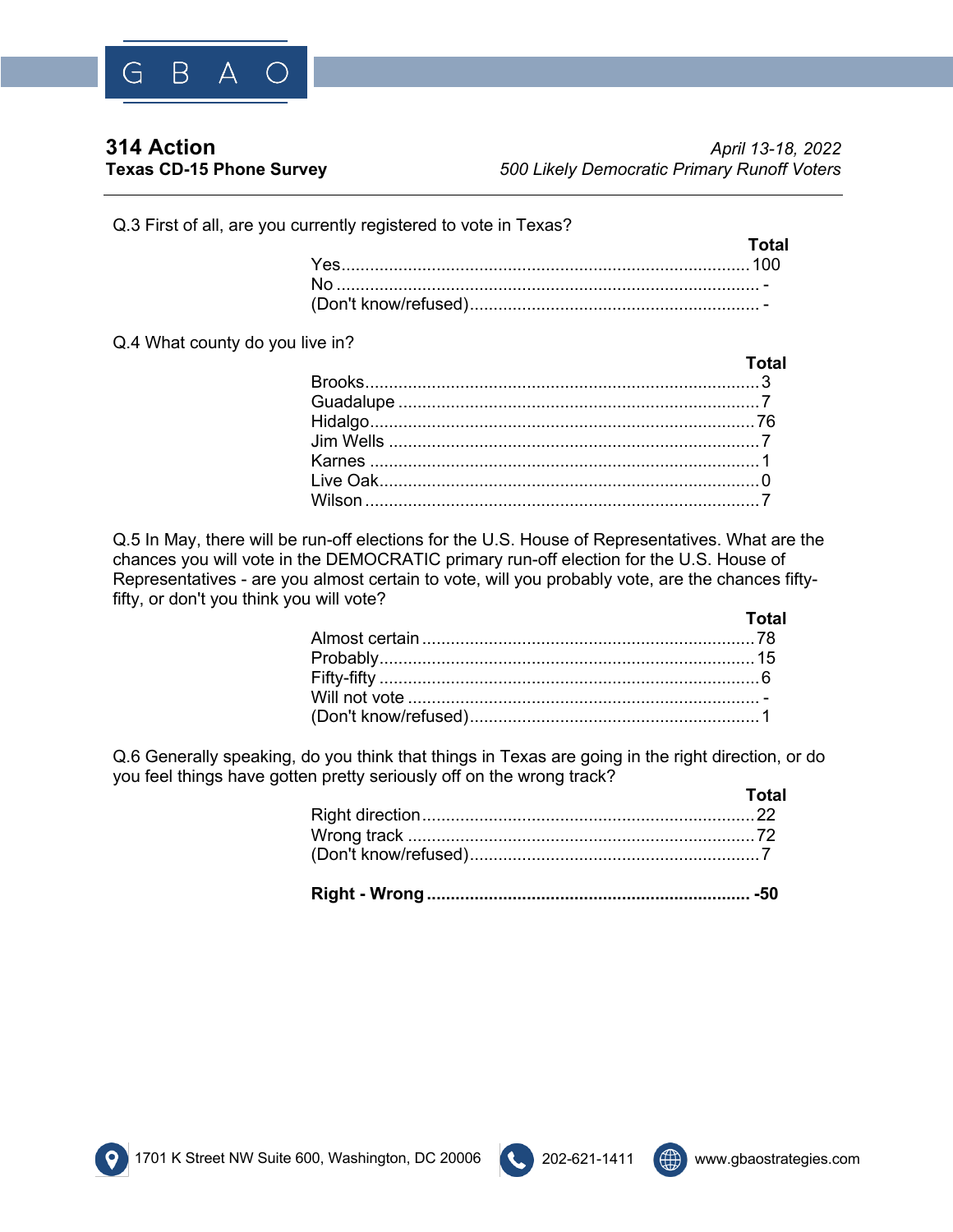

**Total**

Q.3 First of all, are you currently registered to vote in Texas?

| Total |
|-------|
|       |
|       |
|       |

Q.4 What county do you live in?

| <u>i budu masu sa kacamatan ing kabupatèn Indonesia sa kacamatan ing kabupatèn Indonesia sa kacamatan ing kabupatèn Indonesia sa kacamatan ing kacamatan ing kabupatèn Indonesia sa kacamatan ing kacamatan ing kacamatan ing ka</u> |
|--------------------------------------------------------------------------------------------------------------------------------------------------------------------------------------------------------------------------------------|
|                                                                                                                                                                                                                                      |
|                                                                                                                                                                                                                                      |
|                                                                                                                                                                                                                                      |
|                                                                                                                                                                                                                                      |
|                                                                                                                                                                                                                                      |
|                                                                                                                                                                                                                                      |
|                                                                                                                                                                                                                                      |
|                                                                                                                                                                                                                                      |

Q.5 In May, there will be run-off elections for the U.S. House of Representatives. What are the chances you will vote in the DEMOCRATIC primary run-off election for the U.S. House of Representatives - are you almost certain to vote, will you probably vote, are the chances fiftyfifty, or don't you think you will vote?

| Total |
|-------|
|       |
|       |
|       |
|       |
|       |

Q.6 Generally speaking, do you think that things in Texas are going in the right direction, or do you feel things have gotten pretty seriously off on the wrong track? **Total**

| <u>и потаните потаните на потаните с</u> |  |
|------------------------------------------|--|
|                                          |  |
|                                          |  |
|                                          |  |
|                                          |  |





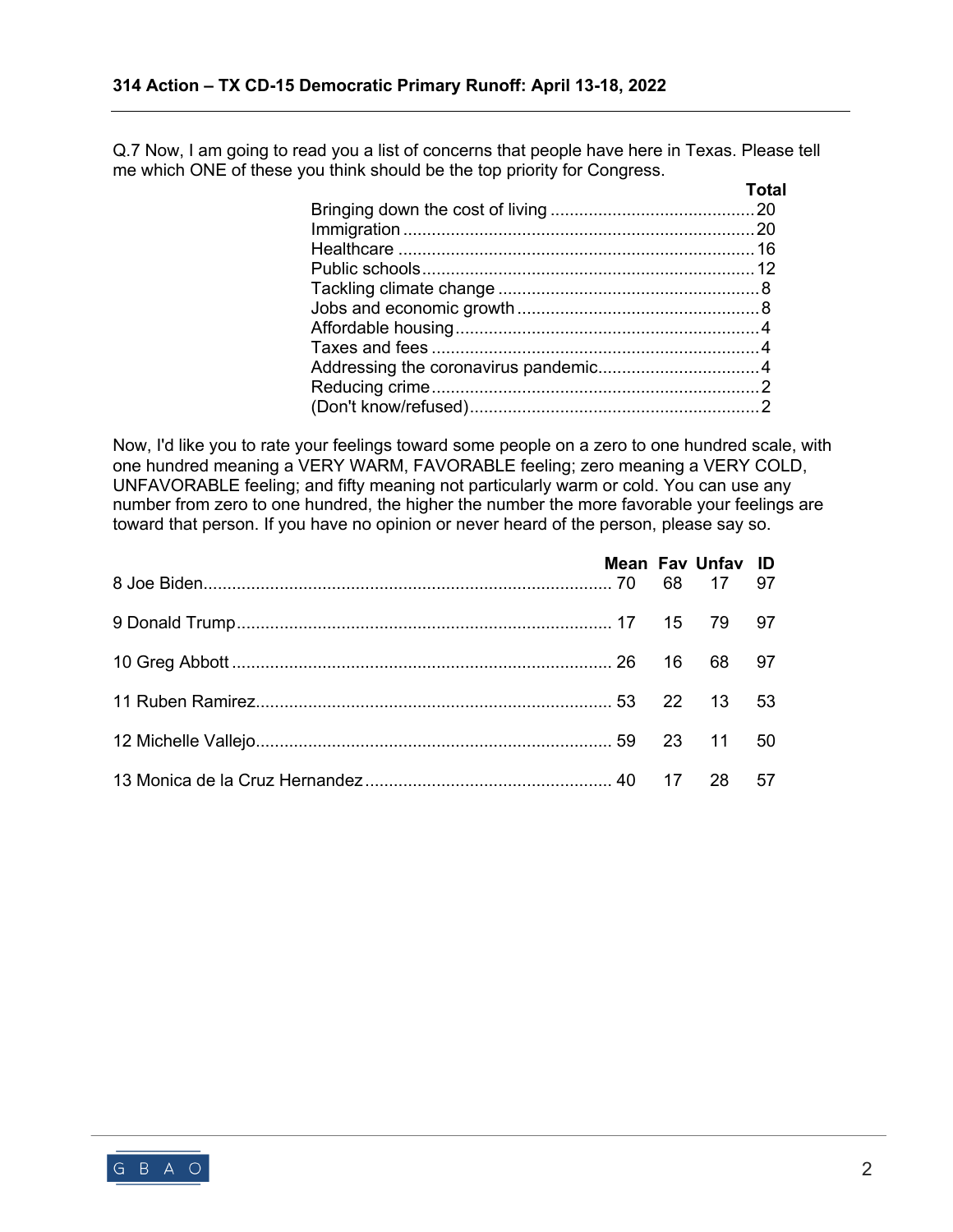Q.7 Now, I am going to read you a list of concerns that people have here in Texas. Please tell me which ONE of these you think should be the top priority for Congress.

| <b>Total</b> |
|--------------|
|              |
|              |
|              |
|              |
|              |
|              |
|              |
|              |
|              |
|              |
|              |
|              |

Now, I'd like you to rate your feelings toward some people on a zero to one hundred scale, with one hundred meaning a VERY WARM, FAVORABLE feeling; zero meaning a VERY COLD, UNFAVORABLE feeling; and fifty meaning not particularly warm or cold. You can use any number from zero to one hundred, the higher the number the more favorable your feelings are toward that person. If you have no opinion or never heard of the person, please say so.

|  | Mean Fav Unfav ID |  |
|--|-------------------|--|
|  |                   |  |
|  |                   |  |
|  |                   |  |
|  |                   |  |
|  |                   |  |

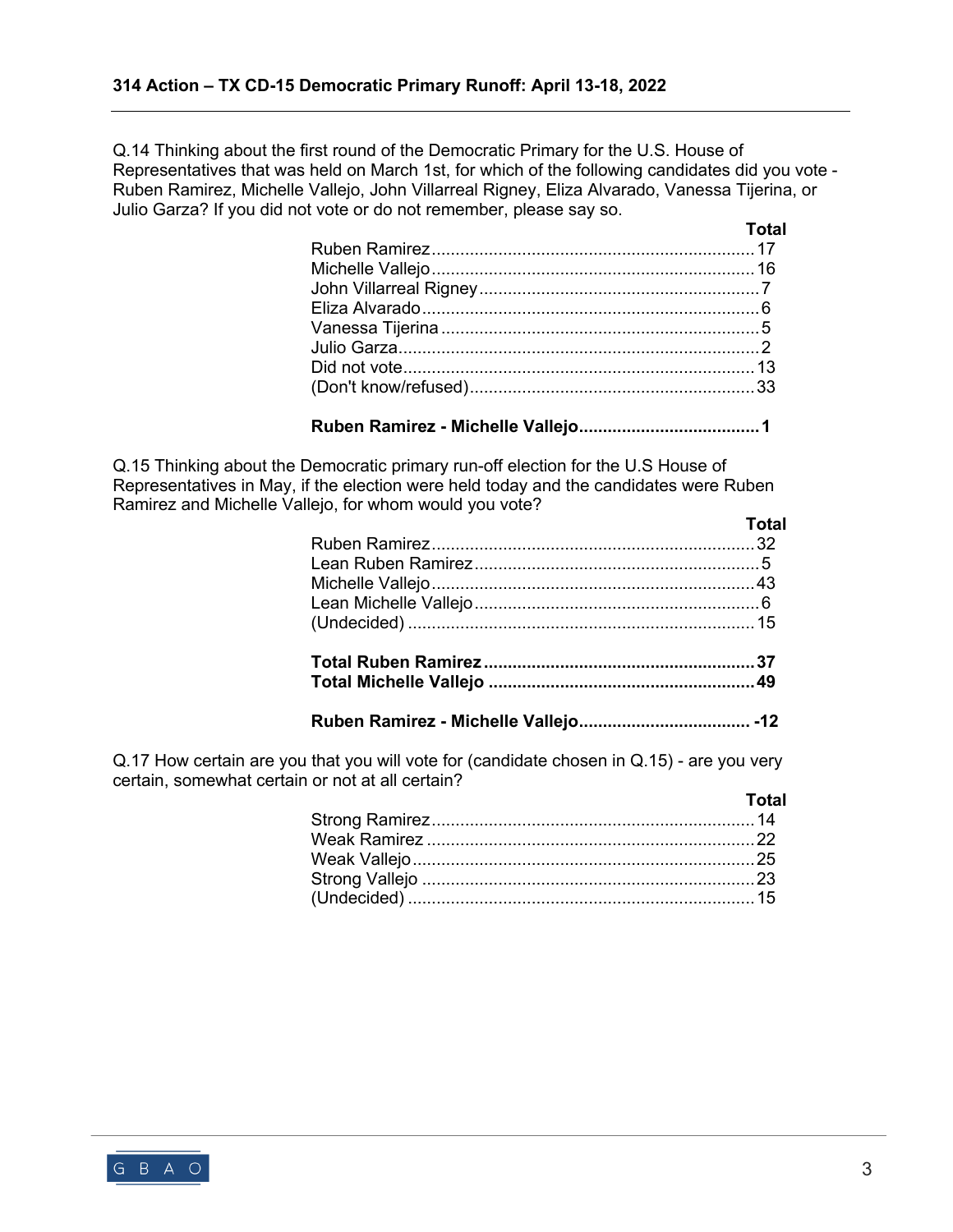Q.14 Thinking about the first round of the Democratic Primary for the U.S. House of Representatives that was held on March 1st, for which of the following candidates did you vote - Ruben Ramirez, Michelle Vallejo, John Villarreal Rigney, Eliza Alvarado, Vanessa Tijerina, or Julio Garza? If you did not vote or do not remember, please say so.

| <u>and the contract of the contract of the contract of the contract of the contract of the contract of the contra</u> |
|-----------------------------------------------------------------------------------------------------------------------|
|                                                                                                                       |
|                                                                                                                       |
|                                                                                                                       |
|                                                                                                                       |
|                                                                                                                       |
|                                                                                                                       |
|                                                                                                                       |
|                                                                                                                       |
|                                                                                                                       |

## **Ruben Ramirez - Michelle Vallejo......................................1**

Q.15 Thinking about the Democratic primary run-off election for the U.S House of Representatives in May, if the election were held today and the candidates were Ruben Ramirez and Michelle Vallejo, for whom would you vote?

| <b>Total</b> |
|--------------|
|              |
|              |
|              |
|              |
|              |
|              |
|              |
|              |

Q.17 How certain are you that you will vote for (candidate chosen in Q.15) - are you very certain, somewhat certain or not at all certain?

| Total |
|-------|
|       |
|       |
|       |
|       |
|       |

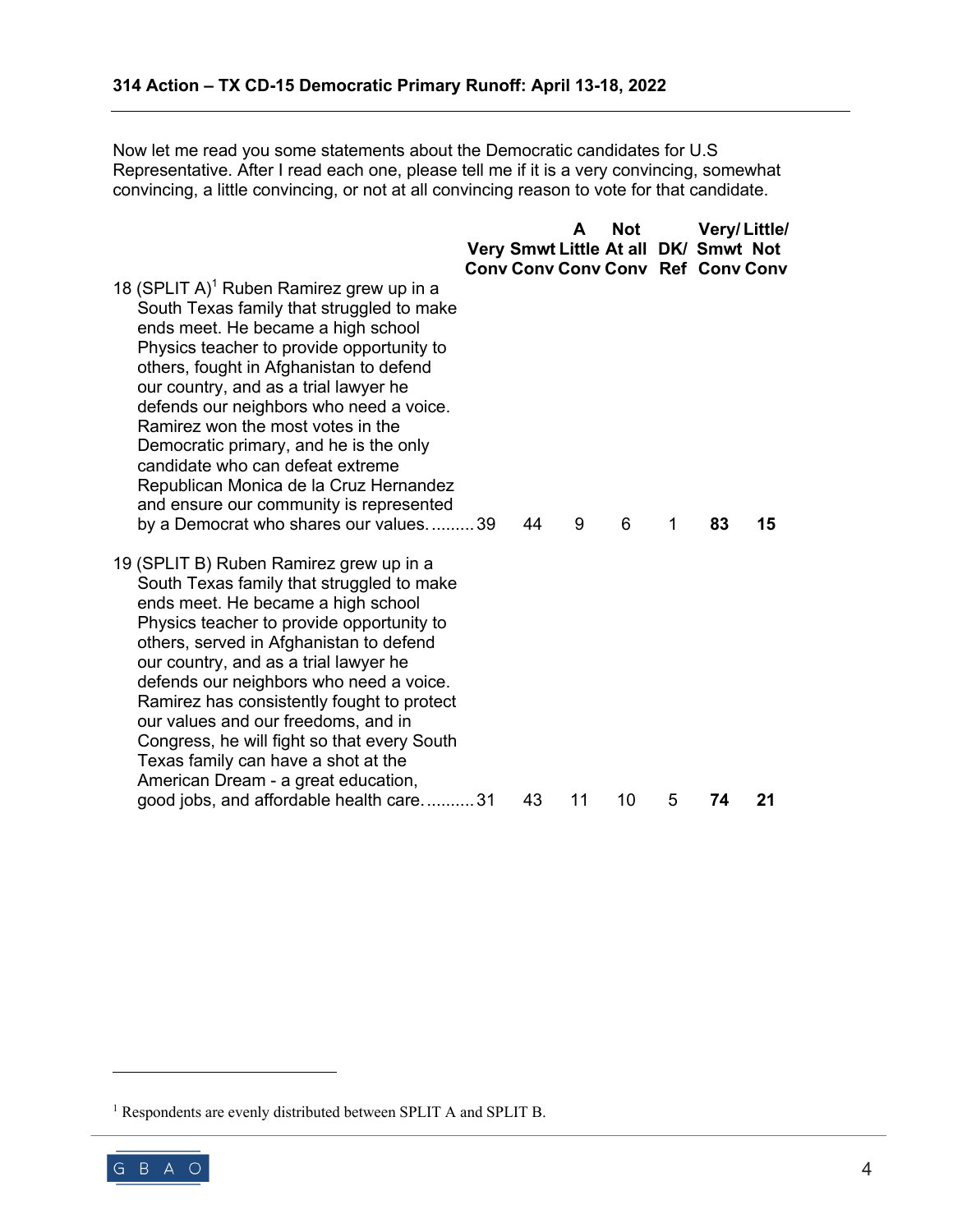Now let me read you some statements about the Democratic candidates for U.S Representative. After I read each one, please tell me if it is a very convincing, somewhat convincing, a little convincing, or not at all convincing reason to vote for that candidate.

|                                                                                                                                                                                                                                                                                                                                                                                                                                                                                                                                                                      |    | A  | <b>Not</b> |   | Very/Little/                             |    |
|----------------------------------------------------------------------------------------------------------------------------------------------------------------------------------------------------------------------------------------------------------------------------------------------------------------------------------------------------------------------------------------------------------------------------------------------------------------------------------------------------------------------------------------------------------------------|----|----|------------|---|------------------------------------------|----|
|                                                                                                                                                                                                                                                                                                                                                                                                                                                                                                                                                                      |    |    |            |   | Very Smwt Little At all DK/ Smwt Not     |    |
|                                                                                                                                                                                                                                                                                                                                                                                                                                                                                                                                                                      |    |    |            |   | <b>Cony Cony Cony Cony Ref Cony Cony</b> |    |
| 18 (SPLIT A) <sup>1</sup> Ruben Ramirez grew up in a<br>South Texas family that struggled to make<br>ends meet. He became a high school<br>Physics teacher to provide opportunity to<br>others, fought in Afghanistan to defend<br>our country, and as a trial lawyer he<br>defends our neighbors who need a voice.<br>Ramirez won the most votes in the<br>Democratic primary, and he is the only<br>candidate who can defeat extreme<br>Republican Monica de la Cruz Hernandez<br>and ensure our community is represented<br>by a Democrat who shares our values39 | 44 | 9  | 6          | 1 | 83                                       | 15 |
| 19 (SPLIT B) Ruben Ramirez grew up in a<br>South Texas family that struggled to make<br>ends meet. He became a high school<br>Physics teacher to provide opportunity to<br>others, served in Afghanistan to defend<br>our country, and as a trial lawyer he<br>defends our neighbors who need a voice.<br>Ramirez has consistently fought to protect<br>our values and our freedoms, and in<br>Congress, he will fight so that every South<br>Texas family can have a shot at the<br>American Dream - a great education,                                             |    |    |            |   |                                          |    |
| good jobs, and affordable health care31                                                                                                                                                                                                                                                                                                                                                                                                                                                                                                                              | 43 | 11 | 10         | 5 | 74                                       | 21 |

<sup>&</sup>lt;sup>1</sup> Respondents are evenly distributed between SPLIT A and SPLIT B.

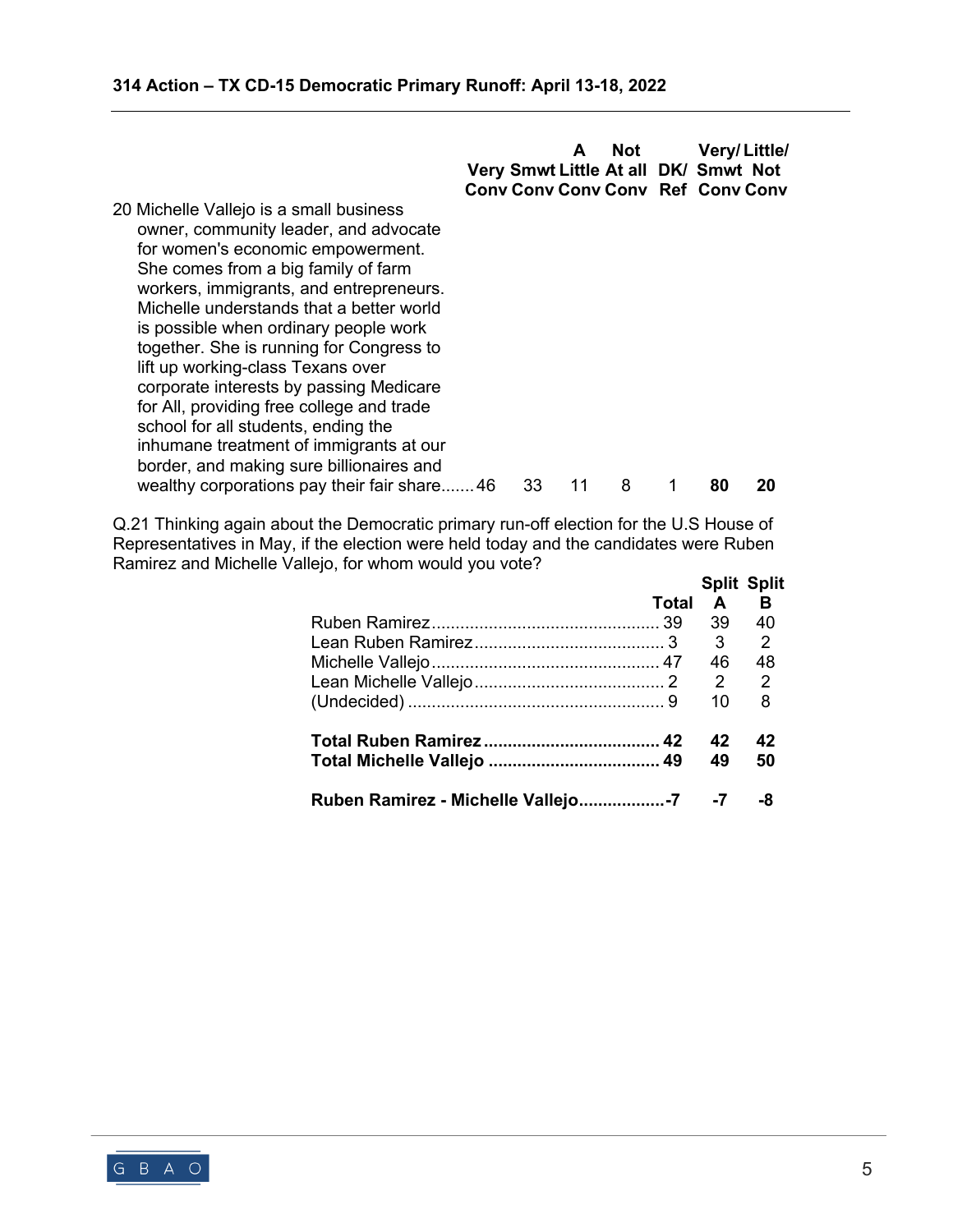**A Not Very/ Little/ Very Smwt Little At all DK/ Smwt Not Conv Conv Conv Conv Ref Conv Conv**

20 Michelle Vallejo is a small business owner, community leader, and advocate for women's economic empowerment. She comes from a big family of farm workers, immigrants, and entrepreneurs. Michelle understands that a better world is possible when ordinary people work together. She is running for Congress to lift up working-class Texans over corporate interests by passing Medicare for All, providing free college and trade school for all students, ending the inhumane treatment of immigrants at our border, and making sure billionaires and wealthy corporations pay their fair share.......46 33 11 8 1 80 20

Q.21 Thinking again about the Democratic primary run-off election for the U.S House of Representatives in May, if the election were held today and the candidates were Ruben Ramirez and Michelle Vallejo, for whom would you vote?

| Total |    | <b>Split Split</b><br>A B |
|-------|----|---------------------------|
|       | 39 | 40                        |
|       | 3  | 2                         |
|       | 46 | 48                        |
|       |    |                           |
|       | 10 | 8                         |
|       | 42 | 42                        |
|       | 49 | 50                        |
|       |    |                           |

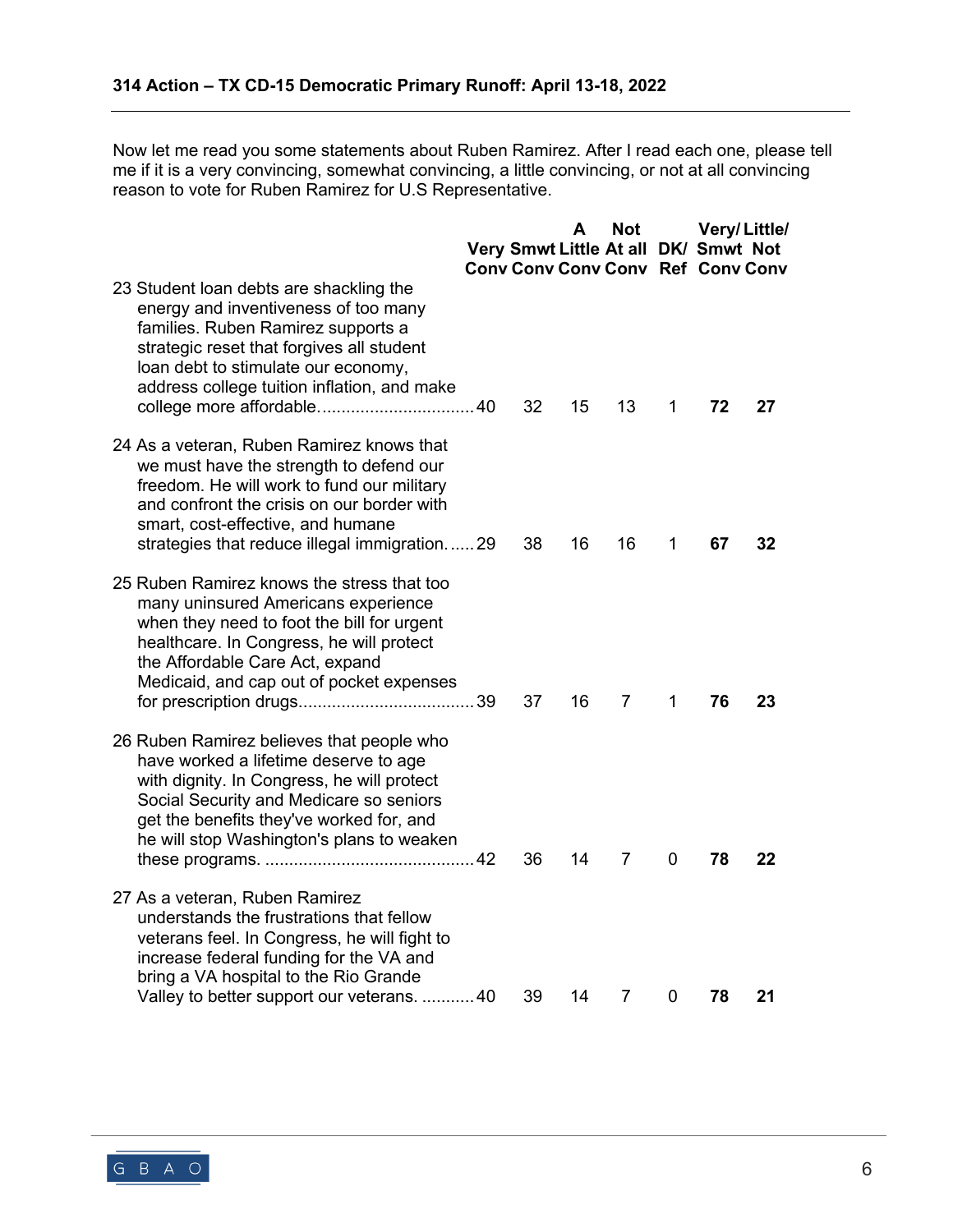Now let me read you some statements about Ruben Ramirez. After I read each one, please tell me if it is a very convincing, somewhat convincing, a little convincing, or not at all convincing reason to vote for Ruben Ramirez for U.S Representative.

|                                                                                                                                                                                                                                                                       |    | A  | <b>Not</b><br>Very Smwt Little At all DK/ Smwt Not<br><b>Conv Conv Conv Conv Ref Conv Conv</b> |             |    | Very/Little/ |
|-----------------------------------------------------------------------------------------------------------------------------------------------------------------------------------------------------------------------------------------------------------------------|----|----|------------------------------------------------------------------------------------------------|-------------|----|--------------|
| 23 Student Ioan debts are shackling the<br>energy and inventiveness of too many<br>families. Ruben Ramirez supports a<br>strategic reset that forgives all student<br>loan debt to stimulate our economy,<br>address college tuition inflation, and make              | 32 | 15 | 13                                                                                             | 1           | 72 | 27           |
| 24 As a veteran, Ruben Ramirez knows that<br>we must have the strength to defend our<br>freedom. He will work to fund our military<br>and confront the crisis on our border with<br>smart, cost-effective, and humane<br>strategies that reduce illegal immigration29 | 38 | 16 | 16                                                                                             | 1           | 67 | 32           |
| 25 Ruben Ramirez knows the stress that too<br>many uninsured Americans experience<br>when they need to foot the bill for urgent<br>healthcare. In Congress, he will protect<br>the Affordable Care Act, expand<br>Medicaid, and cap out of pocket expenses            | 37 | 16 | 7                                                                                              | 1           | 76 | 23           |
| 26 Ruben Ramirez believes that people who<br>have worked a lifetime deserve to age<br>with dignity. In Congress, he will protect<br>Social Security and Medicare so seniors<br>get the benefits they've worked for, and<br>he will stop Washington's plans to weaken  | 36 | 14 | 7                                                                                              | 0           | 78 | 22           |
| 27 As a veteran, Ruben Ramirez<br>understands the frustrations that fellow<br>veterans feel. In Congress, he will fight to<br>increase federal funding for the VA and<br>bring a VA hospital to the Rio Grande<br>Valley to better support our veterans.  40          | 39 | 14 | $\overline{7}$                                                                                 | $\mathbf 0$ | 78 | 21           |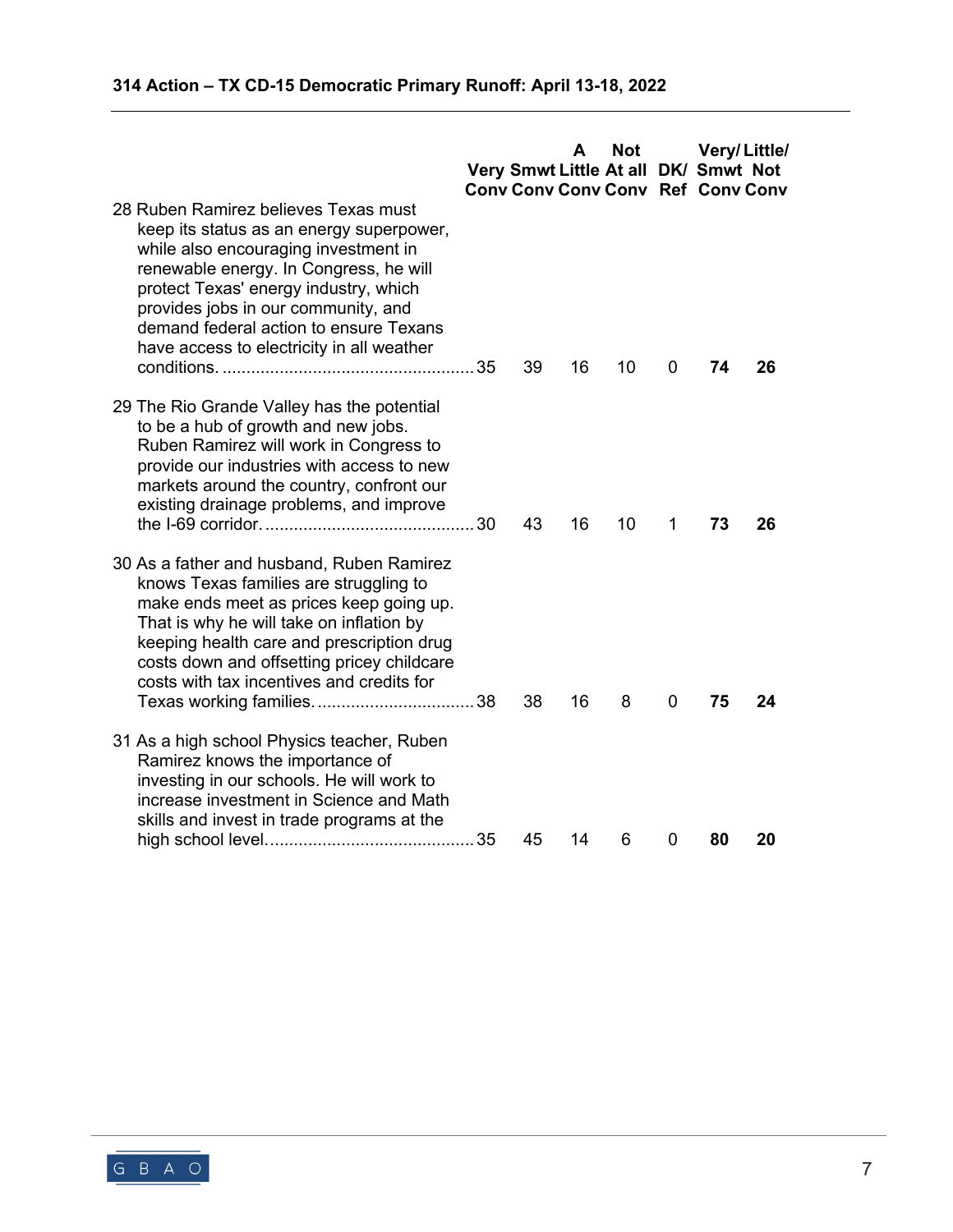| 28 Ruben Ramirez believes Texas must<br>keep its status as an energy superpower,<br>while also encouraging investment in<br>renewable energy. In Congress, he will<br>protect Texas' energy industry, which |                                                                                                                                                                                                                                                                                                                                                                                                                                                                                                                                                                                                                                                                                                                                                                                                                                                                                                     |                                     |    |    |   | <b>Conv Conv Conv Conv Ref Conv Conv</b> |    |
|-------------------------------------------------------------------------------------------------------------------------------------------------------------------------------------------------------------|-----------------------------------------------------------------------------------------------------------------------------------------------------------------------------------------------------------------------------------------------------------------------------------------------------------------------------------------------------------------------------------------------------------------------------------------------------------------------------------------------------------------------------------------------------------------------------------------------------------------------------------------------------------------------------------------------------------------------------------------------------------------------------------------------------------------------------------------------------------------------------------------------------|-------------------------------------|----|----|---|------------------------------------------|----|
|                                                                                                                                                                                                             |                                                                                                                                                                                                                                                                                                                                                                                                                                                                                                                                                                                                                                                                                                                                                                                                                                                                                                     | 39                                  | 16 | 10 | 0 | 74                                       | 26 |
|                                                                                                                                                                                                             |                                                                                                                                                                                                                                                                                                                                                                                                                                                                                                                                                                                                                                                                                                                                                                                                                                                                                                     | 43                                  | 16 | 10 | 1 | 73                                       | 26 |
|                                                                                                                                                                                                             |                                                                                                                                                                                                                                                                                                                                                                                                                                                                                                                                                                                                                                                                                                                                                                                                                                                                                                     | 38                                  | 16 | 8  | 0 | 75                                       | 24 |
|                                                                                                                                                                                                             |                                                                                                                                                                                                                                                                                                                                                                                                                                                                                                                                                                                                                                                                                                                                                                                                                                                                                                     |                                     |    |    |   |                                          | 20 |
|                                                                                                                                                                                                             | demand federal action to ensure Texans<br>have access to electricity in all weather<br>29 The Rio Grande Valley has the potential<br>to be a hub of growth and new jobs.<br>Ruben Ramirez will work in Congress to<br>provide our industries with access to new<br>markets around the country, confront our<br>existing drainage problems, and improve<br>30 As a father and husband, Ruben Ramirez<br>knows Texas families are struggling to<br>make ends meet as prices keep going up.<br>That is why he will take on inflation by<br>keeping health care and prescription drug<br>costs down and offsetting pricey childcare<br>costs with tax incentives and credits for<br>31 As a high school Physics teacher, Ruben<br>Ramirez knows the importance of<br>investing in our schools. He will work to<br>increase investment in Science and Math<br>skills and invest in trade programs at the | provides jobs in our community, and | 45 | 14 | 6 | 0                                        | 80 |

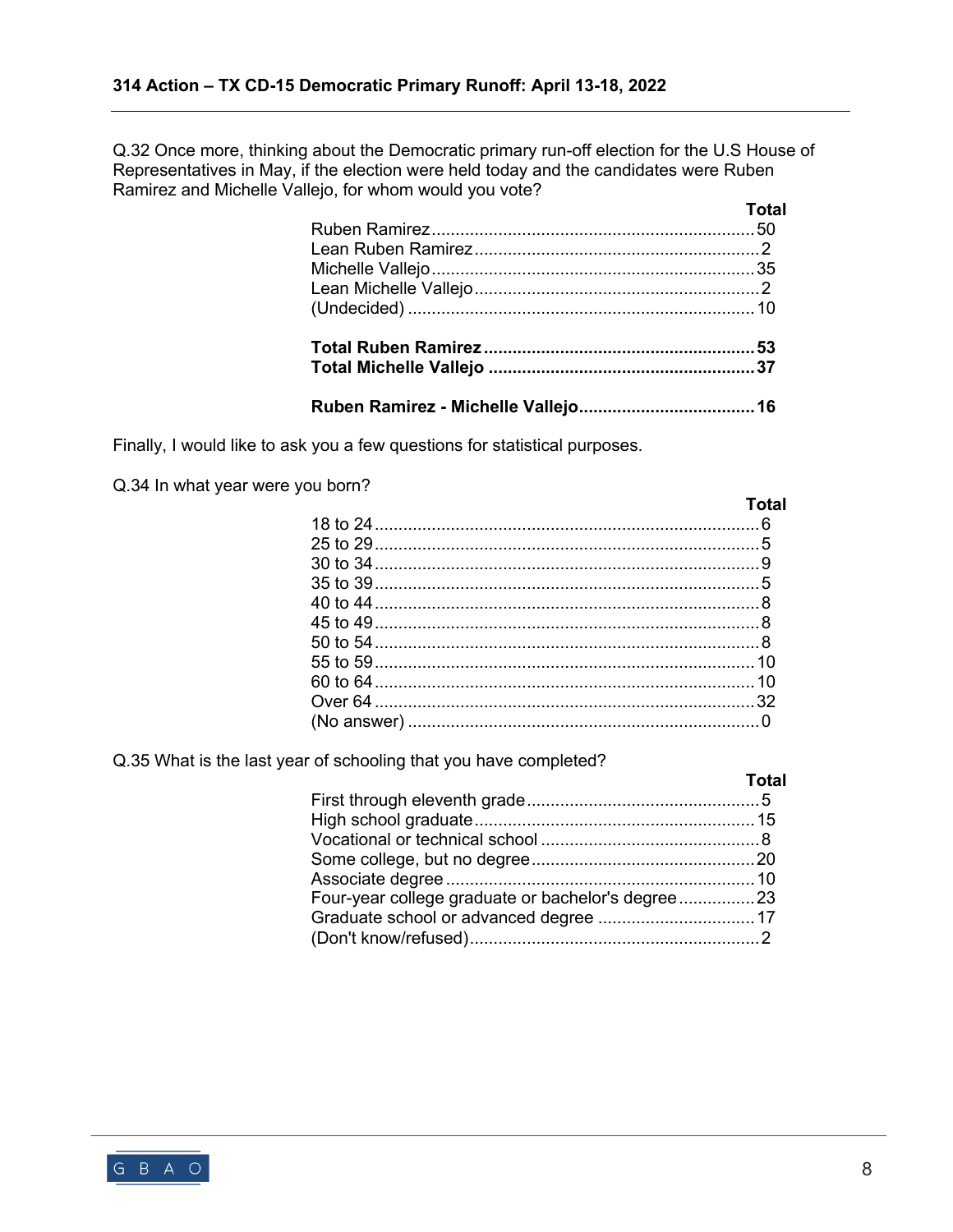Q.32 Once more, thinking about the Democratic primary run-off election for the U.S House of Representatives in May, if the election were held today and the candidates were Ruben Ramirez and Michelle Vallejo, for whom would you vote?

| <b>Total</b> |
|--------------|
|              |
|              |
|              |
|              |
|              |
|              |
|              |
|              |

Finally, I would like to ask you a few questions for statistical purposes.

Q.34 In what year were you born?

|                                     | Total |
|-------------------------------------|-------|
| 25 to 29……………………………………………………………………5 |       |
|                                     |       |
|                                     |       |
|                                     |       |
|                                     |       |
|                                     |       |
|                                     |       |
|                                     |       |
|                                     |       |
|                                     |       |
|                                     |       |

Q.35 What is the last year of schooling that you have completed?

|                                                   | <b>Total</b> |
|---------------------------------------------------|--------------|
|                                                   |              |
|                                                   |              |
|                                                   |              |
|                                                   |              |
|                                                   |              |
| Four-year college graduate or bachelor's degree23 |              |
|                                                   |              |
|                                                   |              |
|                                                   |              |